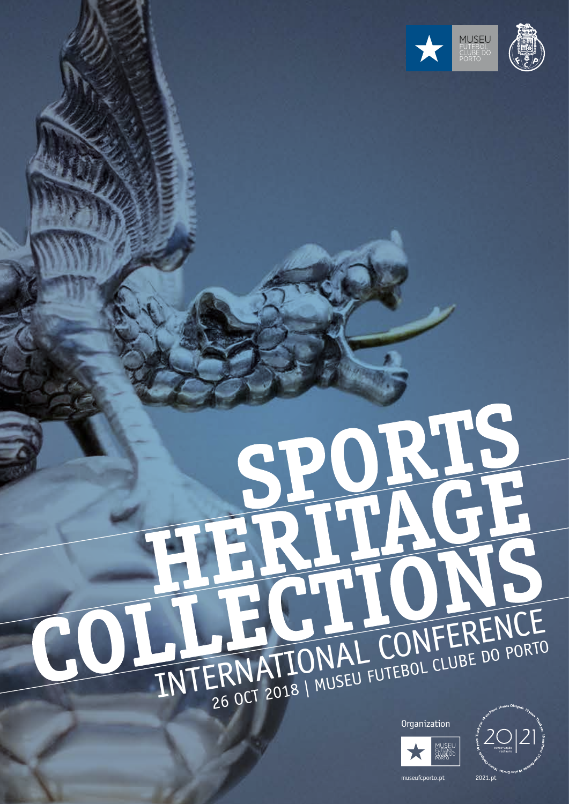

## RTS INTERNATIONAL CONFERENCE





museufcporto.pt 2021.pt